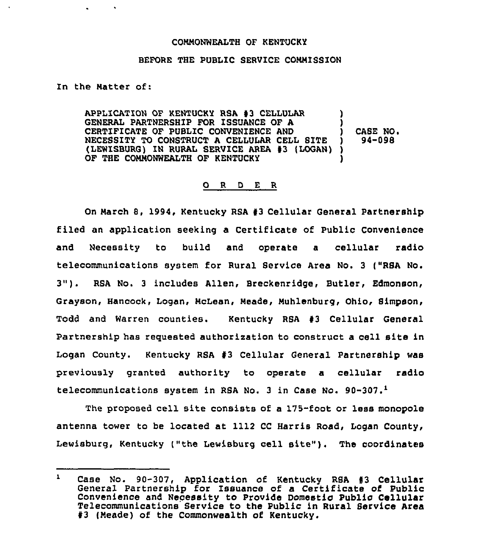## COMMONWEALTH OF KENTUCKY

## BEFORE THE PUBLIC SERVICE COMMISSION

In the Matter of:

APPLICATION OF KENTUCKY RSA #3 CELLULAR GENERAL PARTNERSHIP FOR ISSUANCE OF A CERTIFICATE OF PUBLIC CONVENIENCE AND NECESSITY TO CONSTRUCT A CELLULAR CELL BITE (LEWISBURG) IN RURAL SERVICE AREA #3 (LOGAN)) OF THE COMMONWEALTH OF KENTUCKY ) ) ) CASE NO, ) 94-098 )

## 0 <sup>R</sup> <sup>D</sup> <sup>E</sup> <sup>R</sup>

On March 8, 1994, Kentucky RSA #3 Cellular General Partnership filed an application seeking a Certificate of Public Convenience and Necessity to build and operate a cellular radio telecommunications system for Rural Service Area No. 3 {"RSA No. 3"). RSA No. <sup>3</sup> includes Allen, Breckenridge, Butler, Edmonson, Grayson, Hancock, Logan, McLean, Meade, Muhlenburg, Ohio, Simpson, Todd and Warren counties. Kentucky RSA 93 Cellular General Partnership has requested authorization to construct a cell site in Logan County. Kentucky RSA #3 Cellular General Partnership was previously granted authority to operate a cellular radio telecommunications system in RSA No. 3 in Case No. 90-307.

The proposed cell site consists of a 175-foot or less monopole antenna tower to be located at 1112 CC Harris Road, Logan County, Kentucky ("the Lewisburg cell site"). The coordinate

 $\mathbf{1}$ Case No. 90-307, Application of Kentucky RSA #3 Cellular General Partnership for Issuance of a Certificate of Public Convenience and Necessity to Provide Domestic Public Cellular Telecommunications Service to the Public in Rural Service Area #3 (Meade) of the Commonwealth of Kentucky.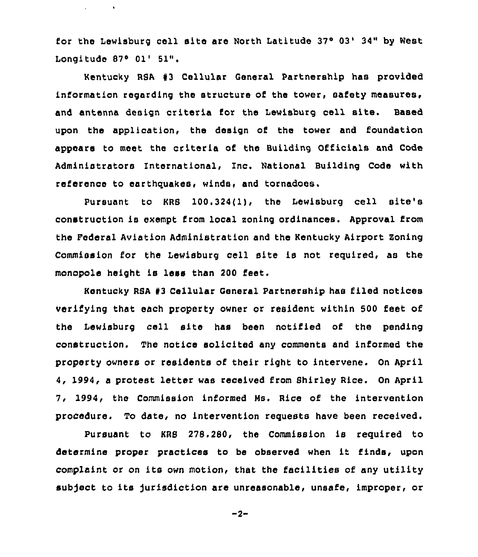for the Lewisburg cell site are North Latitude 37° 03' 34" by West Longitude  $87°$  01' 51".

provided a bank

Kentucky RSA 93 Cellular General Partnership has provided information regarding the struoture of the tower, safety measures, and antenna design criteria for the Lewisburg cell site. Based upon the application, the design of the tower and foundation appears to meet the criteria of the Building Officials and Code Administrators International, Inc. National Building Code with reference to earthquakes, winds, and tornadoes.

Pursuant to KRS 100.324(1), the Lewisburg cell site's construction is exempt from local soning ordinances, Approval from the Pederal Aviation Administration and the Kentucky Airport Soning Commission for the Lewisburg cell site is not required, as the monopole height is less than 200 feet.

Kentucky RSA #3 Cellular General Partnership has filed notices verifying that each property owner or resident within 500 feet of the Lewisburg cell site has been notified of the pending construction. The notice solicited any comments and informed the property owners or residents of their right to intervene. On April 4, 1994, a protest letter was received from Shirley Rice. On April 7, 1994, the Commission informed Ns. Rice of the intervention procedure. To date, no intervention requests have been received.

Pursuant to KRS 27S.280, the Commission is required to determine proper practices to be observed when it finds, upon complaint or on its own motion, that the facilities of any utility subject to its jurisdiction are unreasonable, unsafe, improper, or

$$
-2 -
$$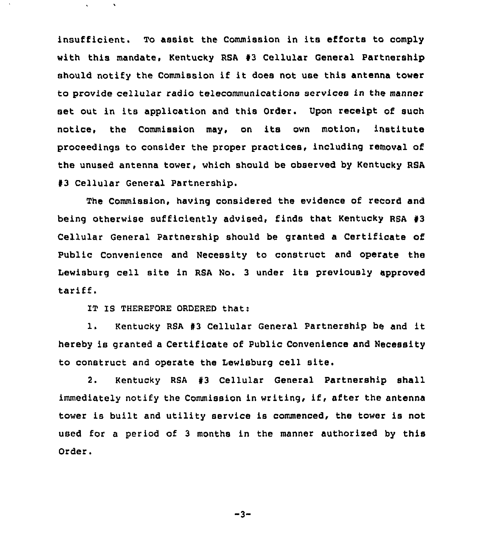insufficient. To assist the Commission in its efforts to comply with this mandate, Kentucky RSA #3 Cellular General Partnership should notify the Commission if it does not use this antenna tower to provide cellular radio telecommunications services in the manner set out in its application and this Order. Upon receipt of such notice, the Commission may, on its own motion, institute proceedings to consider the proper practices, including removal of the unused antenna tower, which should be observed by Kentucky RSA #3 Cellular General Partnership.

The Commission, having considered the evidence of record and being otherwise sufficiently advised, finds that Kentucky RSA 43 Cellular General Partnership should be granted a Certificate of Public Convenience and Necessity to construct and operate the Lewisburg cell site in RSA No, <sup>3</sup> under its previously approved tariff.

IT IS THEREFORE ORDERED that:

1. Kentucky RSA #3 Cellular General Partnership be and it hereby is granted a Certificate of Public Convenience and Necessity to construct and operate the Lewisburg cell site.

2. Kentucky RSA #3 Cellular General Partnership shall immediately notify the Commission in writing, if, after the antenna tower is built and utility service is commenced, the tower is not used for a period of <sup>3</sup> months in the manner authorized by this Order.

-3-